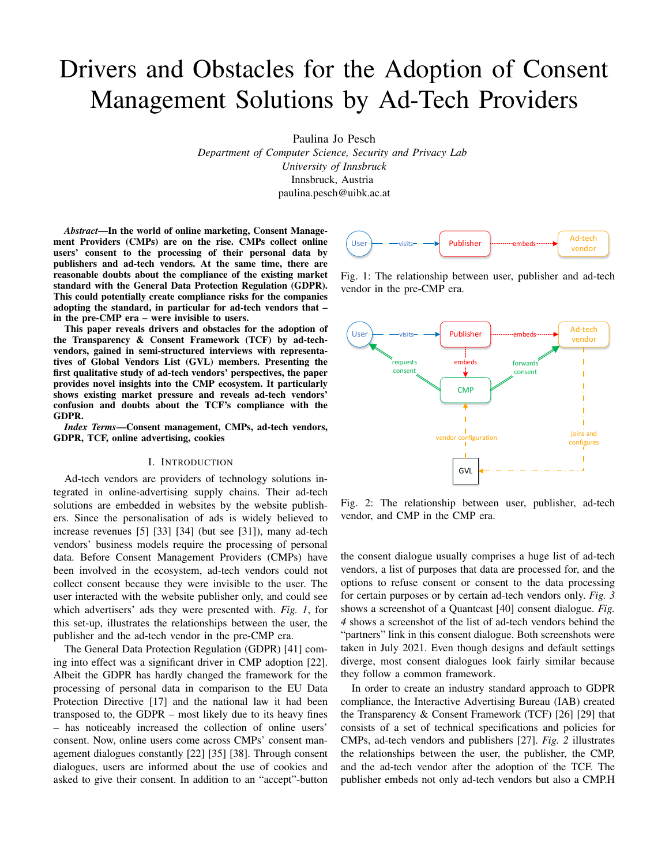# Drivers and Obstacles for the Adoption of Consent Management Solutions by Ad-Tech Providers

Paulina Jo Pesch

*Department of Computer Science, Security and Privacy Lab University of Innsbruck* Innsbruck, Austria paulina.pesch@uibk.ac.at

*Abstract*—In the world of online marketing, Consent Management Providers (CMPs) are on the rise. CMPs collect online users' consent to the processing of their personal data by publishers and ad-tech vendors. At the same time, there are reasonable doubts about the compliance of the existing market standard with the General Data Protection Regulation (GDPR). This could potentially create compliance risks for the companies adopting the standard, in particular for ad-tech vendors that – in the pre-CMP era – were invisible to users.

This paper reveals drivers and obstacles for the adoption of the Transparency & Consent Framework (TCF) by ad-techvendors, gained in semi-structured interviews with representatives of Global Vendors List (GVL) members. Presenting the first qualitative study of ad-tech vendors' perspectives, the paper provides novel insights into the CMP ecosystem. It particularly shows existing market pressure and reveals ad-tech vendors' confusion and doubts about the TCF's compliance with the GDPR.

*Index Terms*—Consent management, CMPs, ad-tech vendors, GDPR, TCF, online advertising, cookies

#### I. INTRODUCTION

Ad-tech vendors are providers of technology solutions integrated in online-advertising supply chains. Their ad-tech solutions are embedded in websites by the website publishers. Since the personalisation of ads is widely believed to increase revenues [5] [33] [34] (but see [31]), many ad-tech vendors' business models require the processing of personal data. Before Consent Management Providers (CMPs) have been involved in the ecosystem, ad-tech vendors could not collect consent because they were invisible to the user. The user interacted with the website publisher only, and could see which advertisers' ads they were presented with. *Fig. 1*, for this set-up, illustrates the relationships between the user, the publisher and the ad-tech vendor in the pre-CMP era.

The General Data Protection Regulation (GDPR) [41] coming into effect was a significant driver in CMP adoption [22]. Albeit the GDPR has hardly changed the framework for the processing of personal data in comparison to the EU Data Protection Directive [17] and the national law it had been transposed to, the GDPR – most likely due to its heavy fines – has noticeably increased the collection of online users' consent. Now, online users come across CMPs' consent management dialogues constantly [22] [35] [38]. Through consent dialogues, users are informed about the use of cookies and asked to give their consent. In addition to an "accept"-button



Fig. 1: The relationship between user, publisher and ad-tech vendor in the pre-CMP era.



Fig. 2: The relationship between user, publisher, ad-tech vendor, and CMP in the CMP era.

the consent dialogue usually comprises a huge list of ad-tech vendors, a list of purposes that data are processed for, and the options to refuse consent or consent to the data processing for certain purposes or by certain ad-tech vendors only. *Fig. 3* shows a screenshot of a Quantcast [40] consent dialogue. *Fig. 4* shows a screenshot of the list of ad-tech vendors behind the "partners" link in this consent dialogue. Both screenshots were taken in July 2021. Even though designs and default settings diverge, most consent dialogues look fairly similar because they follow a common framework.

In order to create an industry standard approach to GDPR compliance, the Interactive Advertising Bureau (IAB) created the Transparency & Consent Framework (TCF) [26] [29] that consists of a set of technical specifications and policies for CMPs, ad-tech vendors and publishers [27]. *Fig. 2* illustrates the relationships between the user, the publisher, the CMP, and the ad-tech vendor after the adoption of the TCF. The publisher embeds not only ad-tech vendors but also a CMP.H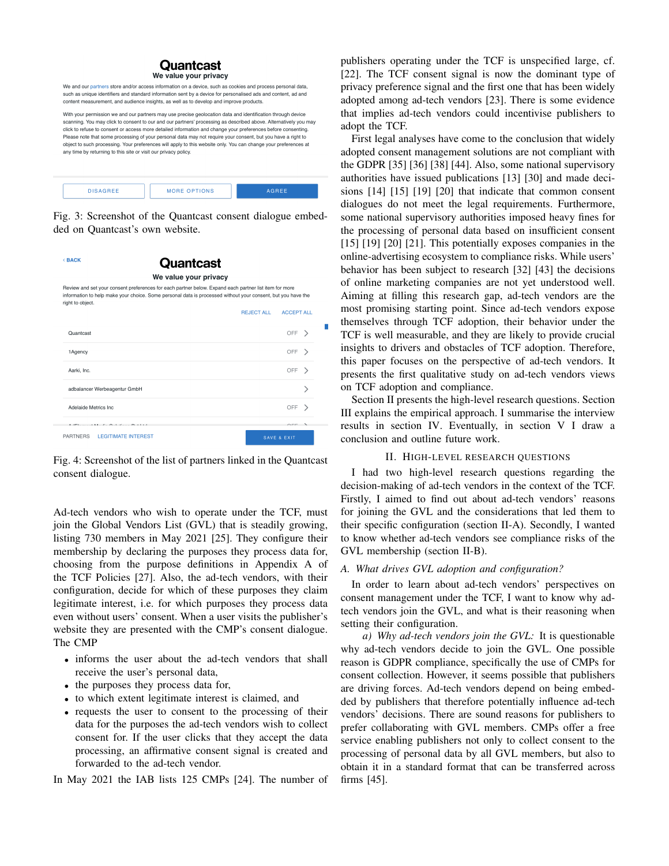#### Quantcast We value your privacy

We and our partners store and/or access information on a device, such as cookies and process personal data, such as unique identifiers and standard information sent by a device for personalised ads and content, ad and content measurement, and audience insights, as well as to develop and improve products.

With your permission we and our partners may use precise geolocation data and identification through device scanning. You may click to consent to our and our partners' processing as described above. Alternatively you may click to refuse to consent or access more detailed information and change your preferences before consenting Please note that some processing of your personal data may not require your consent, but you have a right to object to such processing. Your preferences will apply to this website only. You can change your preferences at any time by returning to this site or visit our privacy policy.



Fig. 3: Screenshot of the Quantcast consent dialogue embedded on Quantcast's own website.

| <back< th=""><th><b>Quantcast</b></th><th></th><th></th></back<> | <b>Quantcast</b>                                                                                                                                                                                                       |                        |  |
|------------------------------------------------------------------|------------------------------------------------------------------------------------------------------------------------------------------------------------------------------------------------------------------------|------------------------|--|
|                                                                  | We value your privacy                                                                                                                                                                                                  |                        |  |
| right to object.                                                 | Review and set your consent preferences for each partner below. Expand each partner list item for more<br>information to help make your choice. Some personal data is processed without your consent, but you have the |                        |  |
|                                                                  | <b>REJECT ALL</b>                                                                                                                                                                                                      | <b>ACCEPT ALL</b>      |  |
| Quantcast                                                        |                                                                                                                                                                                                                        | OFF                    |  |
| 1Agency                                                          |                                                                                                                                                                                                                        | OFF                    |  |
| Aarki, Inc.                                                      |                                                                                                                                                                                                                        | OFF                    |  |
|                                                                  | adbalancer Werbeagentur GmbH                                                                                                                                                                                           |                        |  |
| Adelaide Metrics Inc.                                            |                                                                                                                                                                                                                        | OFF                    |  |
|                                                                  | And Philadelphia And Address to the United States and Address of the United States                                                                                                                                     | $\sim$ $-$             |  |
| <b>PARTNERS</b>                                                  | <b>I FGITIMATE INTEREST</b>                                                                                                                                                                                            | <b>SAVE &amp; EXIT</b> |  |

Fig. 4: Screenshot of the list of partners linked in the Quantcast consent dialogue.

Ad-tech vendors who wish to operate under the TCF, must join the Global Vendors List (GVL) that is steadily growing, listing 730 members in May 2021 [25]. They configure their membership by declaring the purposes they process data for, choosing from the purpose definitions in Appendix A of the TCF Policies [27]. Also, the ad-tech vendors, with their configuration, decide for which of these purposes they claim legitimate interest, i.e. for which purposes they process data even without users' consent. When a user visits the publisher's website they are presented with the CMP's consent dialogue. The CMP

- informs the user about the ad-tech vendors that shall receive the user's personal data,
- the purposes they process data for,
- to which extent legitimate interest is claimed, and
- requests the user to consent to the processing of their data for the purposes the ad-tech vendors wish to collect consent for. If the user clicks that they accept the data processing, an affirmative consent signal is created and forwarded to the ad-tech vendor.

In May 2021 the IAB lists 125 CMPs [24]. The number of

publishers operating under the TCF is unspecified large, cf. [22]. The TCF consent signal is now the dominant type of privacy preference signal and the first one that has been widely adopted among ad-tech vendors [23]. There is some evidence that implies ad-tech vendors could incentivise publishers to adopt the TCF.

First legal analyses have come to the conclusion that widely adopted consent management solutions are not compliant with the GDPR [35] [36] [38] [44]. Also, some national supervisory authorities have issued publications [13] [30] and made decisions [14] [15] [19] [20] that indicate that common consent dialogues do not meet the legal requirements. Furthermore, some national supervisory authorities imposed heavy fines for the processing of personal data based on insufficient consent [15] [19] [20] [21]. This potentially exposes companies in the online-advertising ecosystem to compliance risks. While users' behavior has been subject to research [32] [43] the decisions of online marketing companies are not yet understood well. Aiming at filling this research gap, ad-tech vendors are the most promising starting point. Since ad-tech vendors expose themselves through TCF adoption, their behavior under the TCF is well measurable, and they are likely to provide crucial insights to drivers and obstacles of TCF adoption. Therefore, this paper focuses on the perspective of ad-tech vendors. It presents the first qualitative study on ad-tech vendors views on TCF adoption and compliance.

Section II presents the high-level research questions. Section III explains the empirical approach. I summarise the interview results in section IV. Eventually, in section V I draw a conclusion and outline future work.

## II. HIGH-LEVEL RESEARCH QUESTIONS

I had two high-level research questions regarding the decision-making of ad-tech vendors in the context of the TCF. Firstly, I aimed to find out about ad-tech vendors' reasons for joining the GVL and the considerations that led them to their specific configuration (section II-A). Secondly, I wanted to know whether ad-tech vendors see compliance risks of the GVL membership (section II-B).

#### *A. What drives GVL adoption and configuration?*

In order to learn about ad-tech vendors' perspectives on consent management under the TCF, I want to know why adtech vendors join the GVL, and what is their reasoning when setting their configuration.

*a) Why ad-tech vendors join the GVL:* It is questionable why ad-tech vendors decide to join the GVL. One possible reason is GDPR compliance, specifically the use of CMPs for consent collection. However, it seems possible that publishers are driving forces. Ad-tech vendors depend on being embedded by publishers that therefore potentially influence ad-tech vendors' decisions. There are sound reasons for publishers to prefer collaborating with GVL members. CMPs offer a free service enabling publishers not only to collect consent to the processing of personal data by all GVL members, but also to obtain it in a standard format that can be transferred across firms [45].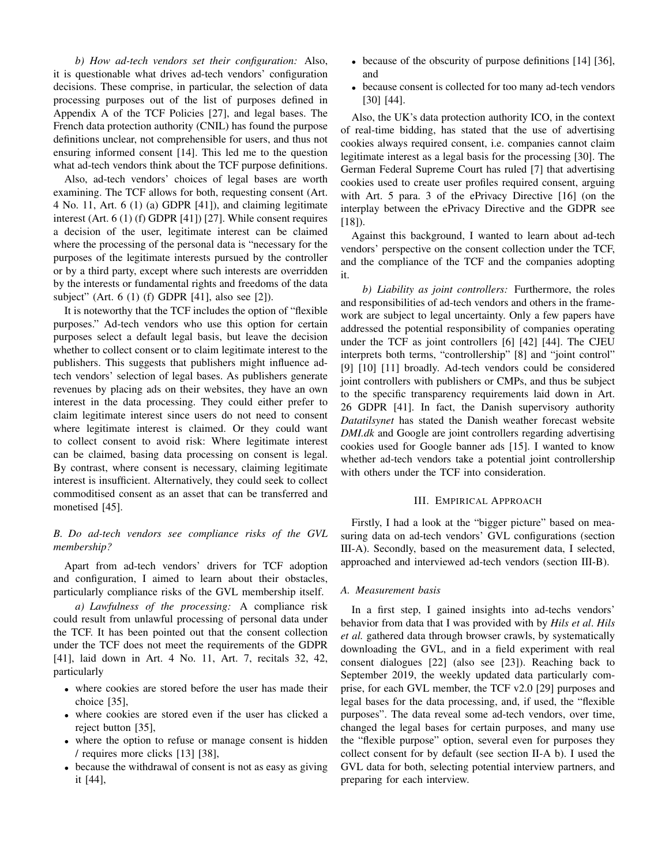*b) How ad-tech vendors set their configuration:* Also, it is questionable what drives ad-tech vendors' configuration decisions. These comprise, in particular, the selection of data processing purposes out of the list of purposes defined in Appendix A of the TCF Policies [27], and legal bases. The French data protection authority (CNIL) has found the purpose definitions unclear, not comprehensible for users, and thus not ensuring informed consent [14]. This led me to the question what ad-tech vendors think about the TCF purpose definitions.

Also, ad-tech vendors' choices of legal bases are worth examining. The TCF allows for both, requesting consent (Art. 4 No. 11, Art. 6 (1) (a) GDPR [41]), and claiming legitimate interest (Art. 6 (1) (f) GDPR [41]) [27]. While consent requires a decision of the user, legitimate interest can be claimed where the processing of the personal data is "necessary for the purposes of the legitimate interests pursued by the controller or by a third party, except where such interests are overridden by the interests or fundamental rights and freedoms of the data subject" (Art. 6 (1) (f) GDPR [41], also see [2]).

It is noteworthy that the TCF includes the option of "flexible purposes." Ad-tech vendors who use this option for certain purposes select a default legal basis, but leave the decision whether to collect consent or to claim legitimate interest to the publishers. This suggests that publishers might influence adtech vendors' selection of legal bases. As publishers generate revenues by placing ads on their websites, they have an own interest in the data processing. They could either prefer to claim legitimate interest since users do not need to consent where legitimate interest is claimed. Or they could want to collect consent to avoid risk: Where legitimate interest can be claimed, basing data processing on consent is legal. By contrast, where consent is necessary, claiming legitimate interest is insufficient. Alternatively, they could seek to collect commoditised consent as an asset that can be transferred and monetised [45].

# *B. Do ad-tech vendors see compliance risks of the GVL membership?*

Apart from ad-tech vendors' drivers for TCF adoption and configuration, I aimed to learn about their obstacles, particularly compliance risks of the GVL membership itself.

*a) Lawfulness of the processing:* A compliance risk could result from unlawful processing of personal data under the TCF. It has been pointed out that the consent collection under the TCF does not meet the requirements of the GDPR [41], laid down in Art. 4 No. 11, Art. 7, recitals 32, 42, particularly

- where cookies are stored before the user has made their choice [35],
- where cookies are stored even if the user has clicked a reject button [35],
- where the option to refuse or manage consent is hidden / requires more clicks [13] [38],
- because the withdrawal of consent is not as easy as giving it [44],
- because of the obscurity of purpose definitions [14] [36], and
- because consent is collected for too many ad-tech vendors [30] [44].

Also, the UK's data protection authority ICO, in the context of real-time bidding, has stated that the use of advertising cookies always required consent, i.e. companies cannot claim legitimate interest as a legal basis for the processing [30]. The German Federal Supreme Court has ruled [7] that advertising cookies used to create user profiles required consent, arguing with Art. 5 para. 3 of the ePrivacy Directive [16] (on the interplay between the ePrivacy Directive and the GDPR see  $[18]$ .

Against this background, I wanted to learn about ad-tech vendors' perspective on the consent collection under the TCF, and the compliance of the TCF and the companies adopting it.

*b) Liability as joint controllers:* Furthermore, the roles and responsibilities of ad-tech vendors and others in the framework are subject to legal uncertainty. Only a few papers have addressed the potential responsibility of companies operating under the TCF as joint controllers [6] [42] [44]. The CJEU interprets both terms, "controllership" [8] and "joint control" [9] [10] [11] broadly. Ad-tech vendors could be considered joint controllers with publishers or CMPs, and thus be subject to the specific transparency requirements laid down in Art. 26 GDPR [41]. In fact, the Danish supervisory authority *Datatilsynet* has stated the Danish weather forecast website *DMI.dk* and Google are joint controllers regarding advertising cookies used for Google banner ads [15]. I wanted to know whether ad-tech vendors take a potential joint controllership with others under the TCF into consideration.

## III. EMPIRICAL APPROACH

Firstly, I had a look at the "bigger picture" based on measuring data on ad-tech vendors' GVL configurations (section III-A). Secondly, based on the measurement data, I selected, approached and interviewed ad-tech vendors (section III-B).

#### *A. Measurement basis*

In a first step, I gained insights into ad-techs vendors' behavior from data that I was provided with by *Hils et al*. *Hils et al.* gathered data through browser crawls, by systematically downloading the GVL, and in a field experiment with real consent dialogues [22] (also see [23]). Reaching back to September 2019, the weekly updated data particularly comprise, for each GVL member, the TCF v2.0 [29] purposes and legal bases for the data processing, and, if used, the "flexible purposes". The data reveal some ad-tech vendors, over time, changed the legal bases for certain purposes, and many use the "flexible purpose" option, several even for purposes they collect consent for by default (see section II-A b). I used the GVL data for both, selecting potential interview partners, and preparing for each interview.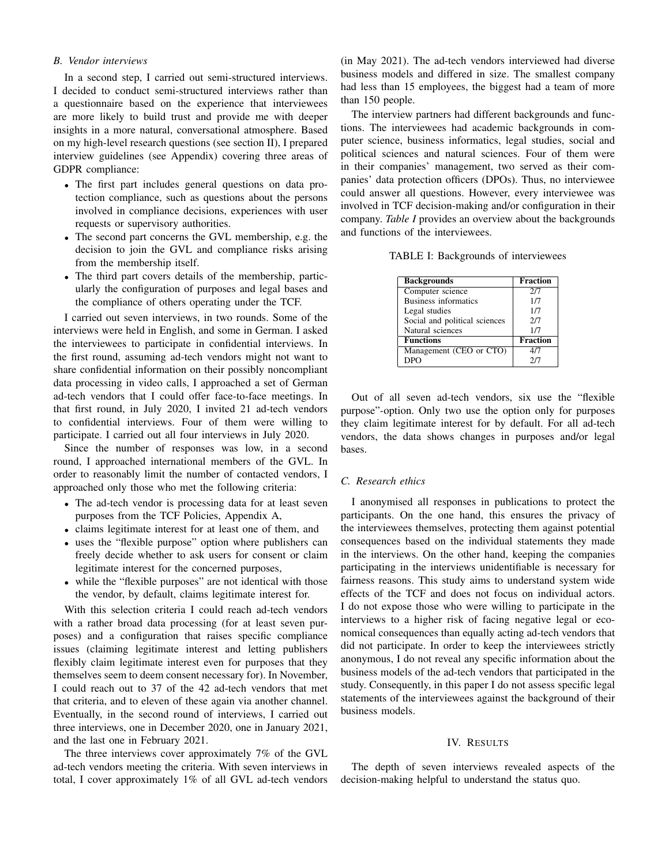## *B. Vendor interviews*

In a second step, I carried out semi-structured interviews. I decided to conduct semi-structured interviews rather than a questionnaire based on the experience that interviewees are more likely to build trust and provide me with deeper insights in a more natural, conversational atmosphere. Based on my high-level research questions (see section II), I prepared interview guidelines (see Appendix) covering three areas of GDPR compliance:

- The first part includes general questions on data protection compliance, such as questions about the persons involved in compliance decisions, experiences with user requests or supervisory authorities.
- The second part concerns the GVL membership, e.g. the decision to join the GVL and compliance risks arising from the membership itself.
- The third part covers details of the membership, particularly the configuration of purposes and legal bases and the compliance of others operating under the TCF.

I carried out seven interviews, in two rounds. Some of the interviews were held in English, and some in German. I asked the interviewees to participate in confidential interviews. In the first round, assuming ad-tech vendors might not want to share confidential information on their possibly noncompliant data processing in video calls, I approached a set of German ad-tech vendors that I could offer face-to-face meetings. In that first round, in July 2020, I invited 21 ad-tech vendors to confidential interviews. Four of them were willing to participate. I carried out all four interviews in July 2020.

Since the number of responses was low, in a second round, I approached international members of the GVL. In order to reasonably limit the number of contacted vendors, I approached only those who met the following criteria:

- The ad-tech vendor is processing data for at least seven purposes from the TCF Policies, Appendix A,
- claims legitimate interest for at least one of them, and
- uses the "flexible purpose" option where publishers can freely decide whether to ask users for consent or claim legitimate interest for the concerned purposes,
- while the "flexible purposes" are not identical with those the vendor, by default, claims legitimate interest for.

With this selection criteria I could reach ad-tech vendors with a rather broad data processing (for at least seven purposes) and a configuration that raises specific compliance issues (claiming legitimate interest and letting publishers flexibly claim legitimate interest even for purposes that they themselves seem to deem consent necessary for). In November, I could reach out to 37 of the 42 ad-tech vendors that met that criteria, and to eleven of these again via another channel. Eventually, in the second round of interviews, I carried out three interviews, one in December 2020, one in January 2021, and the last one in February 2021.

The three interviews cover approximately 7% of the GVL ad-tech vendors meeting the criteria. With seven interviews in total, I cover approximately 1% of all GVL ad-tech vendors

(in May 2021). The ad-tech vendors interviewed had diverse business models and differed in size. The smallest company had less than 15 employees, the biggest had a team of more than 150 people.

The interview partners had different backgrounds and functions. The interviewees had academic backgrounds in computer science, business informatics, legal studies, social and political sciences and natural sciences. Four of them were in their companies' management, two served as their companies' data protection officers (DPOs). Thus, no interviewee could answer all questions. However, every interviewee was involved in TCF decision-making and/or configuration in their company. *Table I* provides an overview about the backgrounds and functions of the interviewees.

TABLE I: Backgrounds of interviewees

| <b>Backgrounds</b>            | <b>Fraction</b> |
|-------------------------------|-----------------|
| Computer science              | 2.17            |
| <b>Business informatics</b>   | 1/7             |
| Legal studies                 | 1/7             |
| Social and political sciences | 2/7             |
| Natural sciences              | 1/7             |
| <b>Functions</b>              | <b>Fraction</b> |
| Management (CEO or CTO)       | 4/7             |
| DPO                           | 2.17            |

Out of all seven ad-tech vendors, six use the "flexible purpose"-option. Only two use the option only for purposes they claim legitimate interest for by default. For all ad-tech vendors, the data shows changes in purposes and/or legal bases.

## *C. Research ethics*

I anonymised all responses in publications to protect the participants. On the one hand, this ensures the privacy of the interviewees themselves, protecting them against potential consequences based on the individual statements they made in the interviews. On the other hand, keeping the companies participating in the interviews unidentifiable is necessary for fairness reasons. This study aims to understand system wide effects of the TCF and does not focus on individual actors. I do not expose those who were willing to participate in the interviews to a higher risk of facing negative legal or economical consequences than equally acting ad-tech vendors that did not participate. In order to keep the interviewees strictly anonymous, I do not reveal any specific information about the business models of the ad-tech vendors that participated in the study. Consequently, in this paper I do not assess specific legal statements of the interviewees against the background of their business models.

#### IV. RESULTS

The depth of seven interviews revealed aspects of the decision-making helpful to understand the status quo.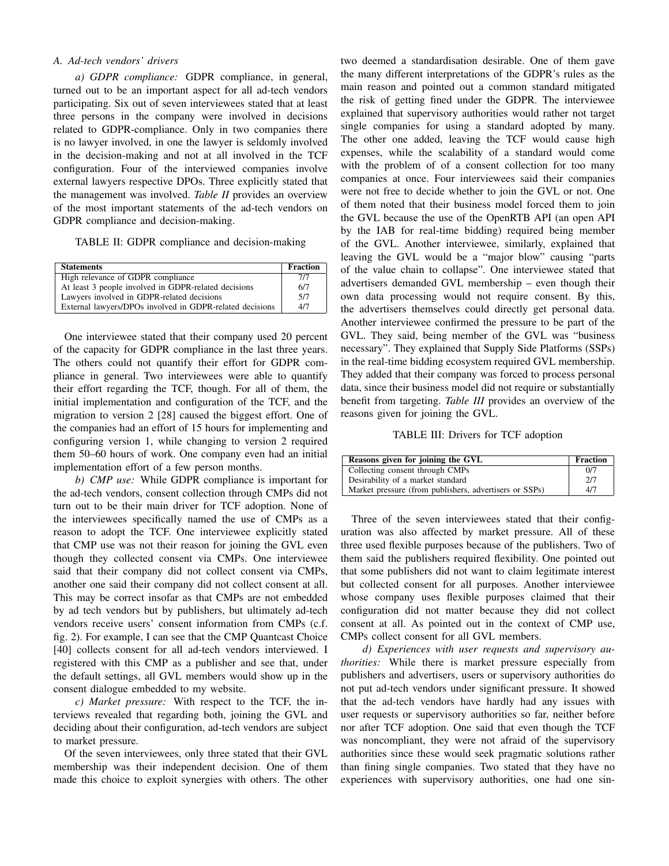## *A. Ad-tech vendors' drivers*

*a) GDPR compliance:* GDPR compliance, in general, turned out to be an important aspect for all ad-tech vendors participating. Six out of seven interviewees stated that at least three persons in the company were involved in decisions related to GDPR-compliance. Only in two companies there is no lawyer involved, in one the lawyer is seldomly involved in the decision-making and not at all involved in the TCF configuration. Four of the interviewed companies involve external lawyers respective DPOs. Three explicitly stated that the management was involved. *Table II* provides an overview of the most important statements of the ad-tech vendors on GDPR compliance and decision-making.

TABLE II: GDPR compliance and decision-making

| <b>Statements</b>                                        | <b>Fraction</b> |
|----------------------------------------------------------|-----------------|
| High relevance of GDPR compliance                        | 7/7             |
| At least 3 people involved in GDPR-related decisions     | 6/7             |
| Lawyers involved in GDPR-related decisions               | 5/7             |
| External lawyers/DPOs involved in GDPR-related decisions | 4/7             |

One interviewee stated that their company used 20 percent of the capacity for GDPR compliance in the last three years. The others could not quantify their effort for GDPR compliance in general. Two interviewees were able to quantify their effort regarding the TCF, though. For all of them, the initial implementation and configuration of the TCF, and the migration to version 2 [28] caused the biggest effort. One of the companies had an effort of 15 hours for implementing and configuring version 1, while changing to version 2 required them 50–60 hours of work. One company even had an initial implementation effort of a few person months.

*b) CMP use:* While GDPR compliance is important for the ad-tech vendors, consent collection through CMPs did not turn out to be their main driver for TCF adoption. None of the interviewees specifically named the use of CMPs as a reason to adopt the TCF. One interviewee explicitly stated that CMP use was not their reason for joining the GVL even though they collected consent via CMPs. One interviewee said that their company did not collect consent via CMPs, another one said their company did not collect consent at all. This may be correct insofar as that CMPs are not embedded by ad tech vendors but by publishers, but ultimately ad-tech vendors receive users' consent information from CMPs (c.f. fig. 2). For example, I can see that the CMP Quantcast Choice [40] collects consent for all ad-tech vendors interviewed. I registered with this CMP as a publisher and see that, under the default settings, all GVL members would show up in the consent dialogue embedded to my website.

*c) Market pressure:* With respect to the TCF, the interviews revealed that regarding both, joining the GVL and deciding about their configuration, ad-tech vendors are subject to market pressure.

Of the seven interviewees, only three stated that their GVL membership was their independent decision. One of them made this choice to exploit synergies with others. The other two deemed a standardisation desirable. One of them gave the many different interpretations of the GDPR's rules as the main reason and pointed out a common standard mitigated the risk of getting fined under the GDPR. The interviewee explained that supervisory authorities would rather not target single companies for using a standard adopted by many. The other one added, leaving the TCF would cause high expenses, while the scalability of a standard would come with the problem of of a consent collection for too many companies at once. Four interviewees said their companies were not free to decide whether to join the GVL or not. One of them noted that their business model forced them to join the GVL because the use of the OpenRTB API (an open API by the IAB for real-time bidding) required being member of the GVL. Another interviewee, similarly, explained that leaving the GVL would be a "major blow" causing "parts of the value chain to collapse". One interviewee stated that advertisers demanded GVL membership – even though their own data processing would not require consent. By this, the advertisers themselves could directly get personal data. Another interviewee confirmed the pressure to be part of the GVL. They said, being member of the GVL was "business necessary". They explained that Supply Side Platforms (SSPs) in the real-time bidding ecosystem required GVL membership. They added that their company was forced to process personal data, since their business model did not require or substantially benefit from targeting. *Table III* provides an overview of the reasons given for joining the GVL.

#### TABLE III: Drivers for TCF adoption

| Reasons given for joining the GVL                      | <b>Fraction</b> |
|--------------------------------------------------------|-----------------|
| Collecting consent through CMPs                        | 0/7             |
| Desirability of a market standard                      | 2/7             |
| Market pressure (from publishers, advertisers or SSPs) | 4/7             |

Three of the seven interviewees stated that their configuration was also affected by market pressure. All of these three used flexible purposes because of the publishers. Two of them said the publishers required flexibility. One pointed out that some publishers did not want to claim legitimate interest but collected consent for all purposes. Another interviewee whose company uses flexible purposes claimed that their configuration did not matter because they did not collect consent at all. As pointed out in the context of CMP use, CMPs collect consent for all GVL members.

*d) Experiences with user requests and supervisory authorities:* While there is market pressure especially from publishers and advertisers, users or supervisory authorities do not put ad-tech vendors under significant pressure. It showed that the ad-tech vendors have hardly had any issues with user requests or supervisory authorities so far, neither before nor after TCF adoption. One said that even though the TCF was noncompliant, they were not afraid of the supervisory authorities since these would seek pragmatic solutions rather than fining single companies. Two stated that they have no experiences with supervisory authorities, one had one sin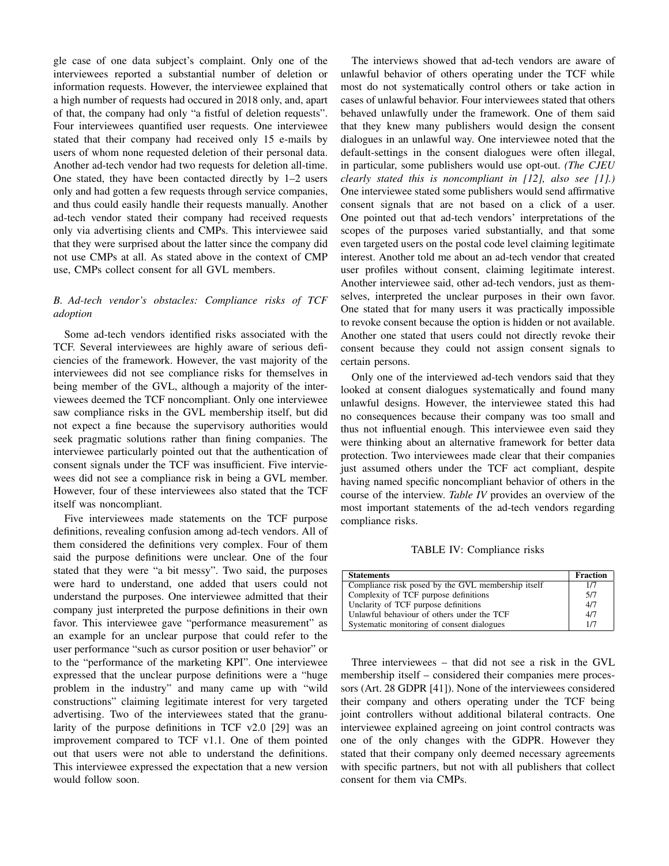gle case of one data subject's complaint. Only one of the interviewees reported a substantial number of deletion or information requests. However, the interviewee explained that a high number of requests had occured in 2018 only, and, apart of that, the company had only "a fistful of deletion requests". Four interviewees quantified user requests. One interviewee stated that their company had received only 15 e-mails by users of whom none requested deletion of their personal data. Another ad-tech vendor had two requests for deletion all-time. One stated, they have been contacted directly by 1–2 users only and had gotten a few requests through service companies, and thus could easily handle their requests manually. Another ad-tech vendor stated their company had received requests only via advertising clients and CMPs. This interviewee said that they were surprised about the latter since the company did not use CMPs at all. As stated above in the context of CMP use, CMPs collect consent for all GVL members.

# *B. Ad-tech vendor's obstacles: Compliance risks of TCF adoption*

Some ad-tech vendors identified risks associated with the TCF. Several interviewees are highly aware of serious deficiencies of the framework. However, the vast majority of the interviewees did not see compliance risks for themselves in being member of the GVL, although a majority of the interviewees deemed the TCF noncompliant. Only one interviewee saw compliance risks in the GVL membership itself, but did not expect a fine because the supervisory authorities would seek pragmatic solutions rather than fining companies. The interviewee particularly pointed out that the authentication of consent signals under the TCF was insufficient. Five interviewees did not see a compliance risk in being a GVL member. However, four of these interviewees also stated that the TCF itself was noncompliant.

Five interviewees made statements on the TCF purpose definitions, revealing confusion among ad-tech vendors. All of them considered the definitions very complex. Four of them said the purpose definitions were unclear. One of the four stated that they were "a bit messy". Two said, the purposes were hard to understand, one added that users could not understand the purposes. One interviewee admitted that their company just interpreted the purpose definitions in their own favor. This interviewee gave "performance measurement" as an example for an unclear purpose that could refer to the user performance "such as cursor position or user behavior" or to the "performance of the marketing KPI". One interviewee expressed that the unclear purpose definitions were a "huge problem in the industry" and many came up with "wild constructions" claiming legitimate interest for very targeted advertising. Two of the interviewees stated that the granularity of the purpose definitions in TCF v2.0 [29] was an improvement compared to TCF v1.1. One of them pointed out that users were not able to understand the definitions. This interviewee expressed the expectation that a new version would follow soon.

The interviews showed that ad-tech vendors are aware of unlawful behavior of others operating under the TCF while most do not systematically control others or take action in cases of unlawful behavior. Four interviewees stated that others behaved unlawfully under the framework. One of them said that they knew many publishers would design the consent dialogues in an unlawful way. One interviewee noted that the default-settings in the consent dialogues were often illegal, in particular, some publishers would use opt-out. *(The CJEU clearly stated this is noncompliant in [12], also see [1].)* One interviewee stated some publishers would send affirmative consent signals that are not based on a click of a user. One pointed out that ad-tech vendors' interpretations of the scopes of the purposes varied substantially, and that some even targeted users on the postal code level claiming legitimate interest. Another told me about an ad-tech vendor that created user profiles without consent, claiming legitimate interest. Another interviewee said, other ad-tech vendors, just as themselves, interpreted the unclear purposes in their own favor. One stated that for many users it was practically impossible to revoke consent because the option is hidden or not available. Another one stated that users could not directly revoke their consent because they could not assign consent signals to certain persons.

Only one of the interviewed ad-tech vendors said that they looked at consent dialogues systematically and found many unlawful designs. However, the interviewee stated this had no consequences because their company was too small and thus not influential enough. This interviewee even said they were thinking about an alternative framework for better data protection. Two interviewees made clear that their companies just assumed others under the TCF act compliant, despite having named specific noncompliant behavior of others in the course of the interview. *Table IV* provides an overview of the most important statements of the ad-tech vendors regarding compliance risks.

TABLE IV: Compliance risks

| <b>Statements</b>                                  | <b>Fraction</b> |
|----------------------------------------------------|-----------------|
| Compliance risk posed by the GVL membership itself | 1/7             |
| Complexity of TCF purpose definitions              | 5/7             |
| Unclarity of TCF purpose definitions               | 4/7             |
| Unlawful behaviour of others under the TCF         | 4/7             |
| Systematic monitoring of consent dialogues         | 1/7             |

Three interviewees – that did not see a risk in the GVL membership itself – considered their companies mere processors (Art. 28 GDPR [41]). None of the interviewees considered their company and others operating under the TCF being joint controllers without additional bilateral contracts. One interviewee explained agreeing on joint control contracts was one of the only changes with the GDPR. However they stated that their company only deemed necessary agreements with specific partners, but not with all publishers that collect consent for them via CMPs.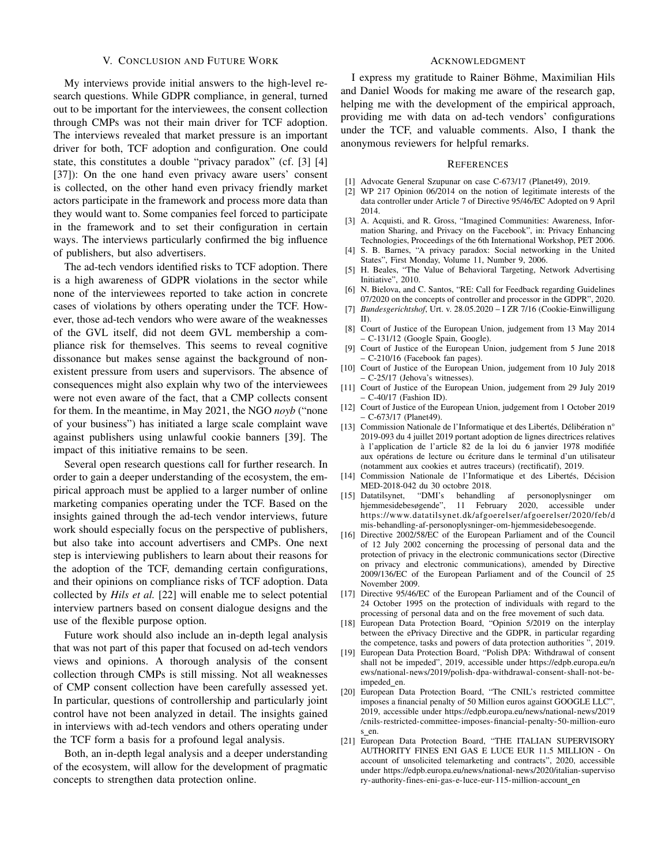#### V. CONCLUSION AND FUTURE WORK

My interviews provide initial answers to the high-level research questions. While GDPR compliance, in general, turned out to be important for the interviewees, the consent collection through CMPs was not their main driver for TCF adoption. The interviews revealed that market pressure is an important driver for both, TCF adoption and configuration. One could state, this constitutes a double "privacy paradox" (cf. [3] [4] [37]): On the one hand even privacy aware users' consent is collected, on the other hand even privacy friendly market actors participate in the framework and process more data than they would want to. Some companies feel forced to participate in the framework and to set their configuration in certain ways. The interviews particularly confirmed the big influence of publishers, but also advertisers.

The ad-tech vendors identified risks to TCF adoption. There is a high awareness of GDPR violations in the sector while none of the interviewees reported to take action in concrete cases of violations by others operating under the TCF. However, those ad-tech vendors who were aware of the weaknesses of the GVL itself, did not deem GVL membership a compliance risk for themselves. This seems to reveal cognitive dissonance but makes sense against the background of nonexistent pressure from users and supervisors. The absence of consequences might also explain why two of the interviewees were not even aware of the fact, that a CMP collects consent for them. In the meantime, in May 2021, the NGO *noyb* ("none of your business") has initiated a large scale complaint wave against publishers using unlawful cookie banners [39]. The impact of this initiative remains to be seen.

Several open research questions call for further research. In order to gain a deeper understanding of the ecosystem, the empirical approach must be applied to a larger number of online marketing companies operating under the TCF. Based on the insights gained through the ad-tech vendor interviews, future work should especially focus on the perspective of publishers, but also take into account advertisers and CMPs. One next step is interviewing publishers to learn about their reasons for the adoption of the TCF, demanding certain configurations, and their opinions on compliance risks of TCF adoption. Data collected by *Hils et al.* [22] will enable me to select potential interview partners based on consent dialogue designs and the use of the flexible purpose option.

Future work should also include an in-depth legal analysis that was not part of this paper that focused on ad-tech vendors views and opinions. A thorough analysis of the consent collection through CMPs is still missing. Not all weaknesses of CMP consent collection have been carefully assessed yet. In particular, questions of controllership and particularly joint control have not been analyzed in detail. The insights gained in interviews with ad-tech vendors and others operating under the TCF form a basis for a profound legal analysis.

Both, an in-depth legal analysis and a deeper understanding of the ecosystem, will allow for the development of pragmatic concepts to strengthen data protection online.

#### ACKNOWLEDGMENT

I express my gratitude to Rainer Böhme, Maximilian Hils and Daniel Woods for making me aware of the research gap, helping me with the development of the empirical approach, providing me with data on ad-tech vendors' configurations under the TCF, and valuable comments. Also, I thank the anonymous reviewers for helpful remarks.

#### **REFERENCES**

- [1] Advocate General Szupunar on case C-673/17 (Planet49), 2019.
- [2] WP 217 Opinion 06/2014 on the notion of legitimate interests of the data controller under Article 7 of Directive 95/46/EC Adopted on 9 April 2014.
- [3] A. Acquisti, and R. Gross, "Imagined Communities: Awareness, Information Sharing, and Privacy on the Facebook", in: Privacy Enhancing Technologies, Proceedings of the 6th International Workshop, PET 2006.
- [4] S. B. Barnes, "A privacy paradox: Social networking in the United States", First Monday, Volume 11, Number 9, 2006.
- [5] H. Beales, "The Value of Behavioral Targeting, Network Advertising Initiative", 2010.
- [6] N. Bielova, and C. Santos, "RE: Call for Feedback regarding Guidelines 07/2020 on the concepts of controller and processor in the GDPR", 2020.
- [7] *Bundesgerichtshof*, Urt. v. 28.05.2020 I ZR 7/16 (Cookie-Einwilligung II).
- [8] Court of Justice of the European Union, judgement from 13 May 2014 – C-131/12 (Google Spain, Google).
- [9] Court of Justice of the European Union, judgement from 5 June 2018 – C-210/16 (Facebook fan pages).
- [10] Court of Justice of the European Union, judgement from 10 July 2018 – C-25/17 (Jehova's witnesses).
- [11] Court of Justice of the European Union, judgement from 29 July 2019 – C-40/17 (Fashion ID).
- [12] Court of Justice of the European Union, judgement from 1 October 2019 – C-673/17 (Planet49).
- [13] Commission Nationale de l'Informatique et des Libertés, Délibération n° 2019-093 du 4 juillet 2019 portant adoption de lignes directrices relatives à l'application de l'article 82 de la loi du 6 janvier 1978 modifiée aux opérations de lecture ou écriture dans le terminal d'un utilisateur (notamment aux cookies et autres traceurs) (rectificatif), 2019.
- [14] Commission Nationale de l'Informatique et des Libertés, Décision MED-2018-042 du 30 octobre 2018.
- [15] Datatilsynet, "DMI's behandling af personoplysninger om hjemmesidebesøgende", 11 February 2020, accessible under https://www.datatilsynet.dk/afgoerelser/afgoerelser/2020/feb/d mis-behandling-af-personoplysninger-om-hjemmesidebesoegende.
- [16] Directive 2002/58/EC of the European Parliament and of the Council of 12 July 2002 concerning the processing of personal data and the protection of privacy in the electronic communications sector (Directive on privacy and electronic communications), amended by Directive 2009/136/EC of the European Parliament and of the Council of 25 November 2009.
- [17] Directive 95/46/EC of the European Parliament and of the Council of 24 October 1995 on the protection of individuals with regard to the processing of personal data and on the free movement of such data.
- [18] European Data Protection Board, "Opinion 5/2019 on the interplay between the ePrivacy Directive and the GDPR, in particular regarding the competence, tasks and powers of data protection authorities ", 2019.
- [19] European Data Protection Board, "Polish DPA: Withdrawal of consent shall not be impeded", 2019, accessible under https://edpb.europa.eu/n ews/national-news/2019/polish-dpa-withdrawal-consent-shall-not-beimpeded en.
- [20] European Data Protection Board, "The CNIL's restricted committee imposes a financial penalty of 50 Million euros against GOOGLE LLC", 2019, accessible under https://edpb.europa.eu/news/national-news/2019 /cnils-restricted-committee-imposes-financial-penalty-50-million-euro s en.
- [21] European Data Protection Board, "THE ITALIAN SUPERVISORY AUTHORITY FINES ENI GAS E LUCE EUR 11.5 MILLION - On account of unsolicited telemarketing and contracts", 2020, accessible under https://edpb.europa.eu/news/national-news/2020/italian-superviso ry-authority-fines-eni-gas-e-luce-eur-115-million-account\_en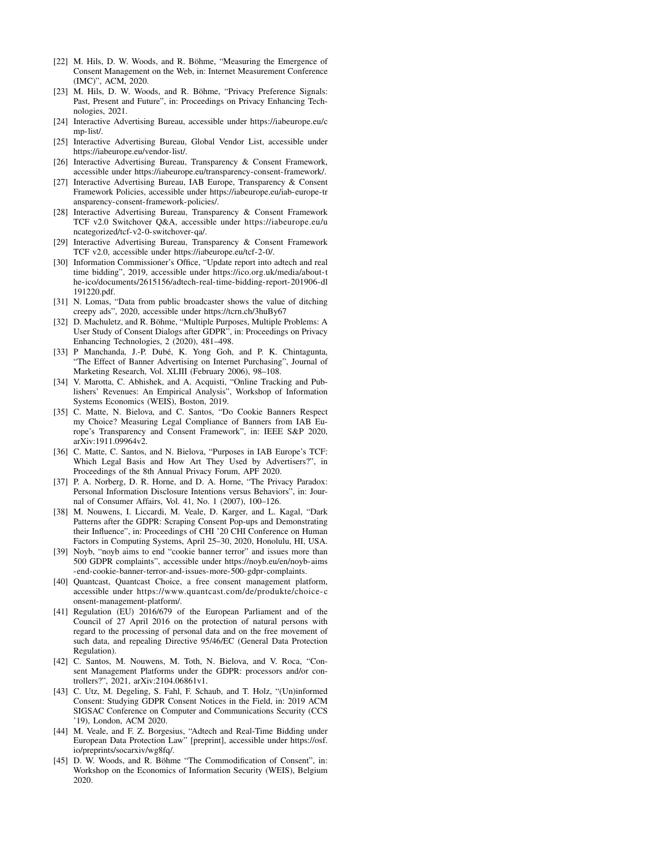- [22] M. Hils, D. W. Woods, and R. Böhme, "Measuring the Emergence of Consent Management on the Web, in: Internet Measurement Conference (IMC)", ACM, 2020.
- [23] M. Hils, D. W. Woods, and R. Böhme, "Privacy Preference Signals: Past, Present and Future", in: Proceedings on Privacy Enhancing Technologies, 2021.
- [24] Interactive Advertising Bureau, accessible under https://iabeurope.eu/c mp-list/.
- [25] Interactive Advertising Bureau, Global Vendor List, accessible under https://iabeurope.eu/vendor-list/.
- [26] Interactive Advertising Bureau, Transparency & Consent Framework, accessible under https://iabeurope.eu/transparency-consent-framework/.
- [27] Interactive Advertising Bureau, IAB Europe, Transparency & Consent Framework Policies, accessible under https://iabeurope.eu/iab-europe-tr ansparency-consent-framework-policies/.
- [28] Interactive Advertising Bureau, Transparency & Consent Framework TCF v2.0 Switchover Q&A, accessible under https://iabeurope.eu/u ncategorized/tcf-v2-0-switchover-qa/.
- [29] Interactive Advertising Bureau, Transparency & Consent Framework TCF v2.0, accessible under https://iabeurope.eu/tcf-2-0/.
- [30] Information Commissioner's Office, "Update report into adtech and real time bidding", 2019, accessible under https://ico.org.uk/media/about-t he-ico/documents/2615156/adtech-real-time-bidding-report-201906-dl 191220.pdf.
- [31] N. Lomas, "Data from public broadcaster shows the value of ditching creepy ads", 2020, accessible under https://tcrn.ch/3huBy67
- [32] D. Machuletz, and R. Böhme, "Multiple Purposes, Multiple Problems: A User Study of Consent Dialogs after GDPR", in: Proceedings on Privacy Enhancing Technologies, 2 (2020), 481–498.
- [33] P Manchanda, J.-P. Dubé, K. Yong Goh, and P. K. Chintagunta, "The Effect of Banner Advertising on Internet Purchasing", Journal of Marketing Research, Vol. XLIII (February 2006), 98–108.
- [34] V. Marotta, C. Abhishek, and A. Acquisti, "Online Tracking and Publishers' Revenues: An Empirical Analysis", Workshop of Information Systems Economics (WEIS), Boston, 2019.
- [35] C. Matte, N. Bielova, and C. Santos, "Do Cookie Banners Respect my Choice? Measuring Legal Compliance of Banners from IAB Europe's Transparency and Consent Framework", in: IEEE S&P 2020, arXiv:1911.09964v2.
- [36] C. Matte, C. Santos, and N. Bielova, "Purposes in IAB Europe's TCF: Which Legal Basis and How Art They Used by Advertisers?", in Proceedings of the 8th Annual Privacy Forum, APF 2020.
- [37] P. A. Norberg, D. R. Horne, and D. A. Horne, "The Privacy Paradox: Personal Information Disclosure Intentions versus Behaviors", in: Journal of Consumer Affairs, Vol. 41, No. 1 (2007), 100–126.
- [38] M. Nouwens, I. Liccardi, M. Veale, D. Karger, and L. Kagal, "Dark Patterns after the GDPR: Scraping Consent Pop-ups and Demonstrating their Influence", in: Proceedings of CHI '20 CHI Conference on Human Factors in Computing Systems, April 25–30, 2020, Honolulu, HI, USA.
- [39] Noyb, "noyb aims to end "cookie banner terror" and issues more than 500 GDPR complaints", accessible under https://noyb.eu/en/noyb-aims -end-cookie-banner-terror-and-issues-more-500-gdpr-complaints.
- [40] Quantcast, Quantcast Choice, a free consent management platform, accessible under https://www.quantcast.com/de/produkte/choice- c onsent-management-platform/.
- [41] Regulation (EU) 2016/679 of the European Parliament and of the Council of 27 April 2016 on the protection of natural persons with regard to the processing of personal data and on the free movement of such data, and repealing Directive 95/46/EC (General Data Protection Regulation).
- [42] C. Santos, M. Nouwens, M. Toth, N. Bielova, and V. Roca, "Consent Management Platforms under the GDPR: processors and/or controllers?", 2021, arXiv:2104.06861v1.
- [43] C. Utz, M. Degeling, S. Fahl, F. Schaub, and T. Holz, "(Un)informed Consent: Studying GDPR Consent Notices in the Field, in: 2019 ACM SIGSAC Conference on Computer and Communications Security (CCS '19), London, ACM 2020.
- [44] M. Veale, and F. Z. Borgesius, "Adtech and Real-Time Bidding under European Data Protection Law" [preprint], accessible under https://osf. io/preprints/socarxiv/wg8fq/.
- [45] D. W. Woods, and R. Böhme "The Commodification of Consent", in: Workshop on the Economics of Information Security (WEIS), Belgium 2020.